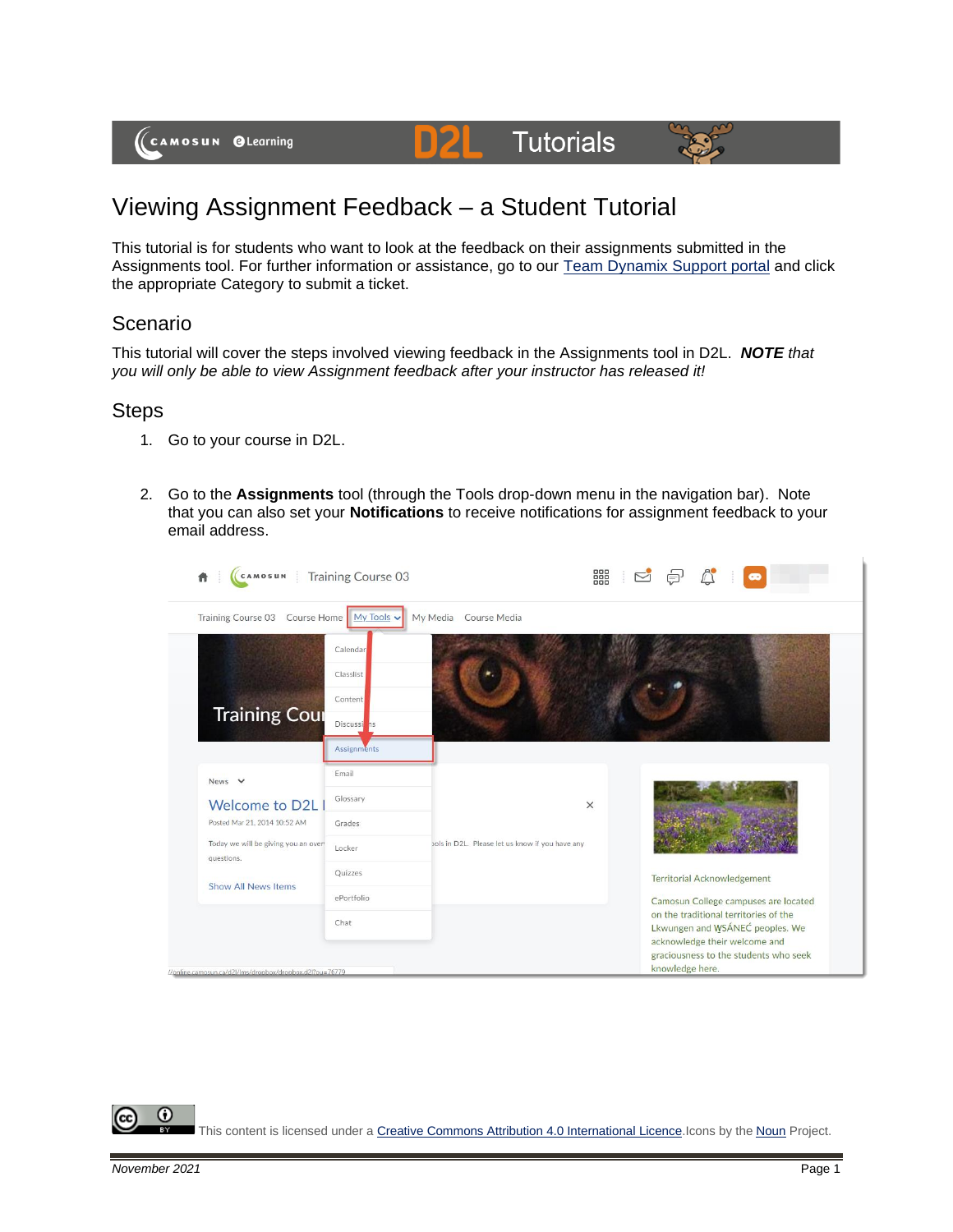## Viewing Assignment Feedback – a Student Tutorial

D

This tutorial is for students who want to look at the feedback on their assignments submitted in the Assignments tool. For further information or assistance, go to our [Team Dynamix Support portal](https://camosun.teamdynamix.com/TDClient/67/Portal/Requests/ServiceCatalog?CategoryID=524) and click the appropriate Category to submit a ticket.

**Tutorials** 

## Scenario

This tutorial will cover the steps involved viewing feedback in the Assignments tool in D2L. *NOTE that you will only be able to view Assignment feedback after your instructor has released it!*

## **Steps**

- 1. Go to your course in D2L.
- 2. Go to the **Assignments** tool (through the Tools drop-down menu in the navigation bar). Note that you can also set your **Notifications** to receive notifications for assignment feedback to your email address.

| CAMOSUN<br><b>Training Course 03</b>                     |                          |                                                 | 器                                                                        |  |  |
|----------------------------------------------------------|--------------------------|-------------------------------------------------|--------------------------------------------------------------------------|--|--|
| Training Course 03 Course Home My Tools v                |                          | My Media<br>Course Media                        |                                                                          |  |  |
|                                                          | Calendar                 |                                                 |                                                                          |  |  |
|                                                          | Classlist                |                                                 |                                                                          |  |  |
| <b>Training Cour</b>                                     | Content                  |                                                 |                                                                          |  |  |
|                                                          | Discussi <sup>o</sup> ns |                                                 |                                                                          |  |  |
|                                                          | <b>Assignments</b>       |                                                 |                                                                          |  |  |
| News $\vee$<br><b>Welcome to D2L</b>                     | Email                    |                                                 |                                                                          |  |  |
|                                                          | Glossary                 |                                                 | $\times$                                                                 |  |  |
| Posted Mar 21, 2014 10:52 AM                             | Grades                   |                                                 |                                                                          |  |  |
| Today we will be giving you an over<br>questions.        | Locker                   | pols in D2L. Please let us know if you have any |                                                                          |  |  |
| <b>Show All News Items</b>                               | Quizzes                  |                                                 | <b>Territorial Acknowledgement</b>                                       |  |  |
|                                                          | ePortfolio               |                                                 | Camosun College campuses are located                                     |  |  |
|                                                          | Chat                     |                                                 | on the traditional territories of the<br>Lkwungen and WSÁNEC peoples. We |  |  |
|                                                          |                          |                                                 | acknowledge their welcome and<br>graciousness to the students who seek   |  |  |
| //online.camosun.ca/d2l/lms/dropbox/dropbox.d2l?ou=76779 |                          |                                                 | knowledge here.                                                          |  |  |

This content is licensed under [a Creative Commons Attribution 4.0 International Licence.I](https://creativecommons.org/licenses/by/4.0/)cons by the [Noun](https://creativecommons.org/website-icons/) Project.

⋒